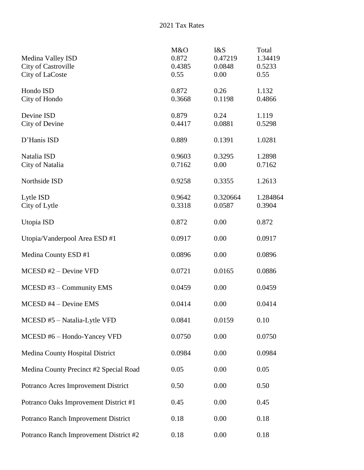2021 Tax Rates

| Medina Valley ISD<br><b>City of Castroville</b><br>City of LaCoste | M&O<br>0.872<br>0.4385<br>0.55 | I&S<br>0.47219<br>0.0848<br>0.00 | Total<br>1.34419<br>0.5233<br>0.55 |
|--------------------------------------------------------------------|--------------------------------|----------------------------------|------------------------------------|
| Hondo ISD<br>City of Hondo                                         | 0.872<br>0.3668                | 0.26<br>0.1198                   | 1.132<br>0.4866                    |
| Devine ISD<br>City of Devine                                       | 0.879<br>0.4417                | 0.24<br>0.0881                   | 1.119<br>0.5298                    |
| D'Hanis ISD                                                        | 0.889                          | 0.1391                           | 1.0281                             |
| Natalia ISD<br>City of Natalia                                     | 0.9603<br>0.7162               | 0.3295<br>0.00                   | 1.2898<br>0.7162                   |
| Northside ISD                                                      | 0.9258                         | 0.3355                           | 1.2613                             |
| Lytle ISD<br>City of Lytle                                         | 0.9642<br>0.3318               | 0.320664<br>0.0587               | 1.284864<br>0.3904                 |
| Utopia ISD                                                         | 0.872                          | 0.00                             | 0.872                              |
| Utopia/Vanderpool Area ESD #1                                      | 0.0917                         | 0.00                             | 0.0917                             |
| Medina County ESD #1                                               | 0.0896                         | 0.00                             | 0.0896                             |
| $MCESD#2 - Devine VFD$                                             | 0.0721                         | 0.0165                           | 0.0886                             |
| $MCESD \#3$ – Community EMS                                        | 0.0459                         | 0.00                             | 0.0459                             |
| $MCESD$ #4 – Devine EMS                                            | 0.0414                         | 0.00                             | 0.0414                             |
| MCESD #5 - Natalia-Lytle VFD                                       | 0.0841                         | 0.0159                           | 0.10                               |
| MCESD #6 - Hondo-Yancey VFD                                        | 0.0750                         | 0.00                             | 0.0750                             |
| Medina County Hospital District                                    | 0.0984                         | 0.00                             | 0.0984                             |
| Medina County Precinct #2 Special Road                             | 0.05                           | 0.00                             | 0.05                               |
| Potranco Acres Improvement District                                | 0.50                           | 0.00                             | 0.50                               |
| Potranco Oaks Improvement District #1                              | 0.45                           | 0.00                             | 0.45                               |
| Potranco Ranch Improvement District                                | 0.18                           | 0.00                             | 0.18                               |
| Potranco Ranch Improvement District #2                             | 0.18                           | 0.00                             | 0.18                               |